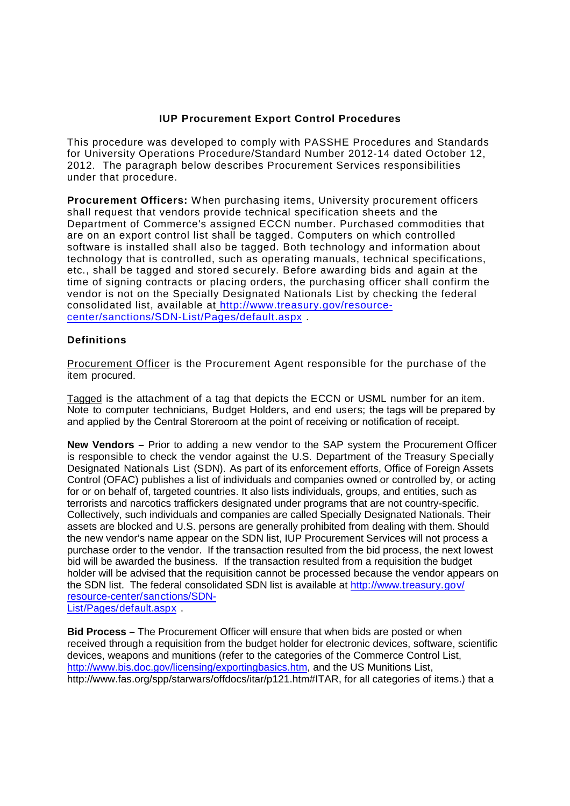## **IUP Procurement Export Control Procedures**

This procedure was developed to comply with PASSHE Procedures and Standards for University Operations Procedure/Standard Number 2012-14 dated October 12, 2012. The paragraph below describes Procurement Services responsibilities under that procedure.

**Procurement Officers:** When purchasing items, University procurement officers shall request that vendors provide technical specification sheets and the Department of Commerce's assigned ECCN number. Purchased commodities that are on an export control list shall be tagged. Computers on which controlled software is installed shall also be tagged. Both technology and information about technology that is controlled, such as operating manuals, technical specifications, etc., shall be tagged and stored securely. Before awarding bids and again at the time of signing contracts or placing orders, the purchasing officer shall confirm the vendor is not on the Specially Designated Nationals List by checking the federal consolidated list, available at http://www.treasury.gov/resourcecenter/sanctions/SDN-List/Pages/default.aspx .

## **Definitions**

Procurement Officer is the Procurement Agent responsible for the purchase of the item procured.

Tagged is the attachment of a tag that depicts the ECCN or USML number for an item. Note to computer technicians, Budget Holders, and end users; the tags will be prepared by and applied by the Central Storeroom at the point of receiving or notification of receipt.

**New Vendors –** Prior to adding a new vendor to the SAP system the Procurement Officer is responsible to check the vendor against the U.S. Department of the Treasury Specially Designated Nationals List (SDN). As part of its enforcement efforts, Office of Foreign Assets Control (OFAC) publishes a list of individuals and companies owned or controlled by, or acting for or on behalf of, targeted countries. It also lists individuals, groups, and entities, such as terrorists and narcotics traffickers designated under programs that are not country-specific. Collectively, such individuals and companies are called Specially Designated Nationals. Their assets are blocked and U.S. persons are generally prohibited from dealing with them. Should the new vendor's name appear on the SDN list, IUP Procurement Services will not process a purchase order to the vendor. If the transaction resulted from the bid process, the next lowest bid will be awarded the business. If the transaction resulted from a requisition the budget holder will be advised that the requisition cannot be processed because the vendor appears on the SDN list. The federal consolidated SDN list is available at http://www.treasury.gov/ resource-center/sanctions/SDN-List/Pages/default.aspx.

**Bid Process –** The Procurement Officer will ensure that when bids are posted or when received through a requisition from the budget holder for electronic devices, software, scientific devices, weapons and munitions (refer to the categories of the Commerce Control List, http://www.bis.doc.gov/licensing/exportingbasics.htm, and the US Munitions List, http://www.fas.org/spp/starwars/offdocs/itar/p121.htm#ITAR, for all categories of items.) that a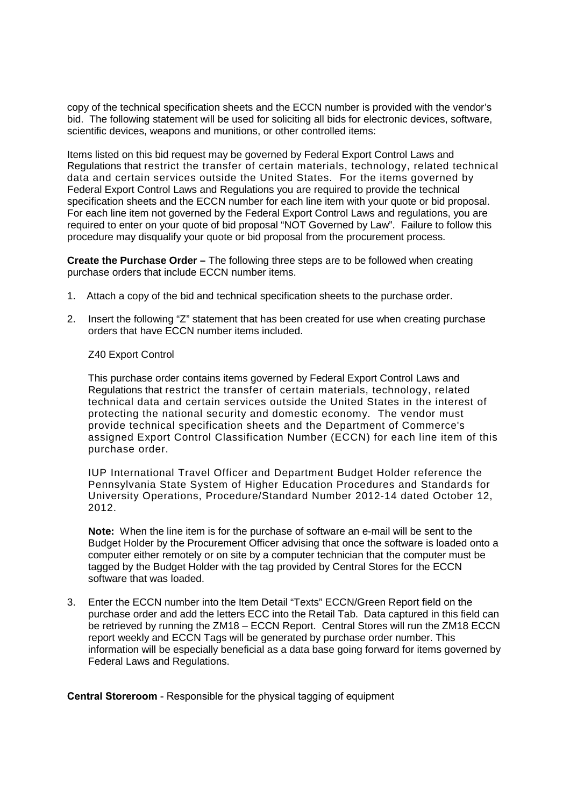copy of the technical specification sheets and the ECCN number is provided with the vendor's bid. The following statement will be used for soliciting all bids for electronic devices, software, scientific devices, weapons and munitions, or other controlled items:

Items listed on this bid request may be governed by Federal Export Control Laws and Regulations that restrict the transfer of certain materials, technology, related technical data and certain services outside the United States. For the items governed by Federal Export Control Laws and Regulations you are required to provide the technical specification sheets and the ECCN number for each line item with your quote or bid proposal. For each line item not governed by the Federal Export Control Laws and regulations, you are required to enter on your quote of bid proposal "NOT Governed by Law". Failure to follow this procedure may disqualify your quote or bid proposal from the procurement process.

**Create the Purchase Order –** The following three steps are to be followed when creating purchase orders that include ECCN number items.

- 1. Attach a copy of the bid and technical specification sheets to the purchase order.
- 2. Insert the following "Z" statement that has been created for use when creating purchase orders that have ECCN number items included.

## Z40 Export Control

This purchase order contains items governed by Federal Export Control Laws and Regulations that restrict the transfer of certain materials, technology, related technical data and certain services outside the United States in the interest of protecting the national security and domestic economy. The vendor must provide technical specification sheets and the Department of Commerce's assigned Export Control Classification Number (ECCN) for each line item of this purchase order.

IUP International Travel Officer and Department Budget Holder reference the Pennsylvania State System of Higher Education Procedures and Standards for University Operations, Procedure/Standard Number 2012-14 dated October 12, 2012.

**Note:** When the line item is for the purchase of software an e-mail will be sent to the Budget Holder by the Procurement Officer advising that once the software is loaded onto a computer either remotely or on site by a computer technician that the computer must be tagged by the Budget Holder with the tag provided by Central Stores for the ECCN software that was loaded.

3. Enter the ECCN number into the Item Detail "Texts" ECCN/Green Report field on the purchase order and add the letters ECC into the Retail Tab. Data captured in this field can be retrieved by running the ZM18 – ECCN Report. Central Stores will run the ZM18 ECCN report weekly and ECCN Tags will be generated by purchase order number. This information will be especially beneficial as a data base going forward for items governed by Federal Laws and Regulations.

**Central Storeroom** - Responsible for the physical tagging of equipment